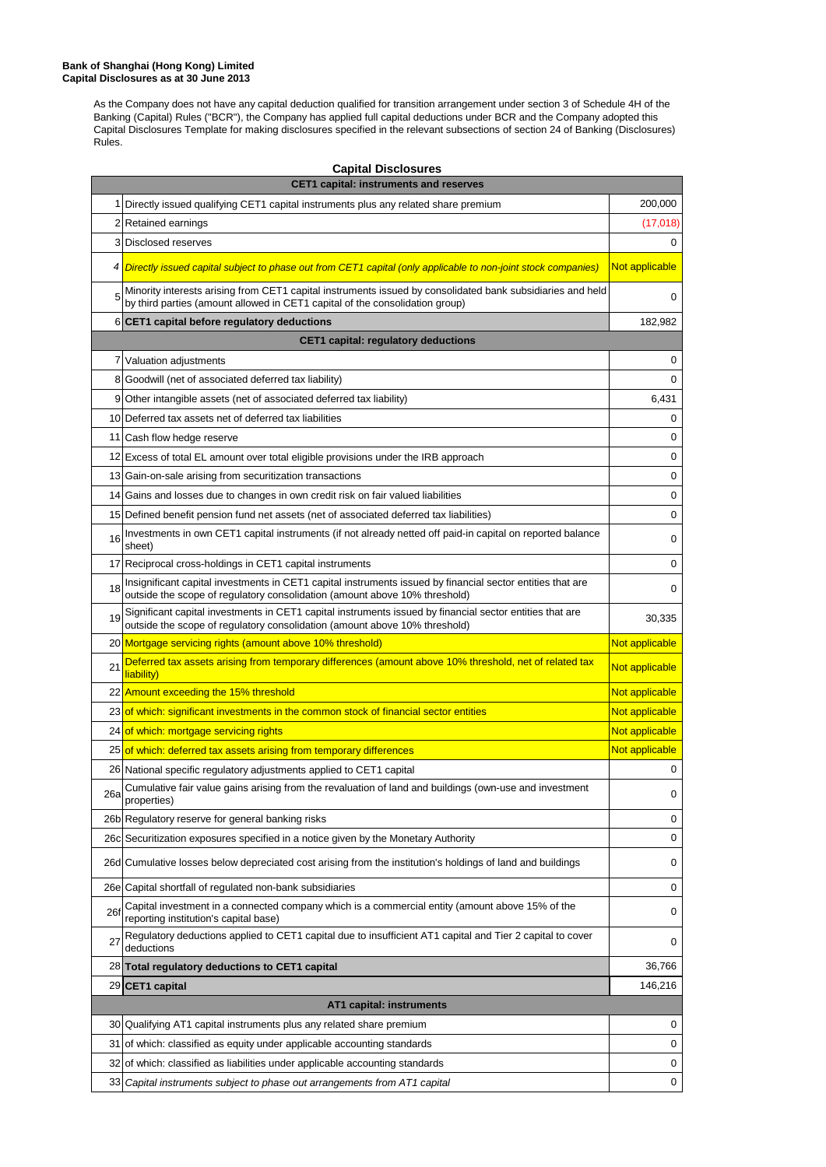As the Company does not have any capital deduction qualified for transition arrangement under section 3 of Schedule 4H of the Banking (Capital) Rules ("BCR"), the Company has applied full capital deductions under BCR and the Company adopted this Capital Disclosures Template for making disclosures specified in the relevant subsections of section 24 of Banking (Disclosures) Rules.

| <b>Capital Disclosures</b>                    |                                                                                                                                                                                            |                |  |
|-----------------------------------------------|--------------------------------------------------------------------------------------------------------------------------------------------------------------------------------------------|----------------|--|
| <b>CET1 capital: instruments and reserves</b> |                                                                                                                                                                                            |                |  |
|                                               | 1 Directly issued qualifying CET1 capital instruments plus any related share premium                                                                                                       | 200,000        |  |
|                                               | 2 Retained earnings                                                                                                                                                                        | (17,018)       |  |
|                                               | 3 Disclosed reserves                                                                                                                                                                       | 0              |  |
|                                               | 4 Directly issued capital subject to phase out from CET1 capital (only applicable to non-joint stock companies)                                                                            | Not applicable |  |
| 5                                             | Minority interests arising from CET1 capital instruments issued by consolidated bank subsidiaries and held<br>by third parties (amount allowed in CET1 capital of the consolidation group) | 0              |  |
|                                               | 6 CET1 capital before regulatory deductions                                                                                                                                                | 182,982        |  |
|                                               | <b>CET1 capital: regulatory deductions</b>                                                                                                                                                 |                |  |
|                                               | 7 Valuation adjustments                                                                                                                                                                    | 0              |  |
|                                               | 8 Goodwill (net of associated deferred tax liability)                                                                                                                                      | 0              |  |
| 9                                             | Other intangible assets (net of associated deferred tax liability)                                                                                                                         | 6,431          |  |
|                                               | 10 Deferred tax assets net of deferred tax liabilities                                                                                                                                     |                |  |
|                                               | 11 Cash flow hedge reserve                                                                                                                                                                 | 0              |  |
|                                               | 12 Excess of total EL amount over total eligible provisions under the IRB approach                                                                                                         | 0              |  |
|                                               | 13 Gain-on-sale arising from securitization transactions                                                                                                                                   | 0              |  |
|                                               | 14 Gains and losses due to changes in own credit risk on fair valued liabilities                                                                                                           | 0              |  |
|                                               | 15 Defined benefit pension fund net assets (net of associated deferred tax liabilities)                                                                                                    | 0              |  |
| 16                                            | Investments in own CET1 capital instruments (if not already netted off paid-in capital on reported balance<br>sheet)                                                                       | 0              |  |
|                                               | 17 Reciprocal cross-holdings in CET1 capital instruments                                                                                                                                   | 0              |  |
| 18                                            | Insignificant capital investments in CET1 capital instruments issued by financial sector entities that are<br>outside the scope of regulatory consolidation (amount above 10% threshold)   | 0              |  |
| 19                                            | Significant capital investments in CET1 capital instruments issued by financial sector entities that are<br>outside the scope of regulatory consolidation (amount above 10% threshold)     | 30,335         |  |
|                                               | 20 Mortgage servicing rights (amount above 10% threshold)                                                                                                                                  | Not applicable |  |
| 21                                            | Deferred tax assets arising from temporary differences (amount above 10% threshold, net of related tax<br>liability)                                                                       | Not applicable |  |
|                                               | 22 Amount exceeding the 15% threshold                                                                                                                                                      | Not applicable |  |
|                                               | 23 of which: significant investments in the common stock of financial sector entities                                                                                                      | Not applicable |  |
|                                               | 24 of which: mortgage servicing rights                                                                                                                                                     | Not applicable |  |
|                                               | 25 of which: deferred tax assets arising from temporary differences                                                                                                                        | Not applicable |  |
|                                               | 26 National specific regulatory adjustments applied to CET1 capital                                                                                                                        | 0              |  |
| 26a                                           |                                                                                                                                                                                            |                |  |
|                                               | Cumulative fair value gains arising from the revaluation of land and buildings (own-use and investment<br>properties)                                                                      | 0              |  |
|                                               | 26b Regulatory reserve for general banking risks                                                                                                                                           | 0              |  |
|                                               | 26c Securitization exposures specified in a notice given by the Monetary Authority                                                                                                         | 0              |  |
|                                               | 26d Cumulative losses below depreciated cost arising from the institution's holdings of land and buildings                                                                                 | 0              |  |
|                                               | 26e Capital shortfall of regulated non-bank subsidiaries                                                                                                                                   | 0              |  |
| 26f                                           | Capital investment in a connected company which is a commercial entity (amount above 15% of the<br>reporting institution's capital base)                                                   | 0              |  |
| 27                                            | Regulatory deductions applied to CET1 capital due to insufficient AT1 capital and Tier 2 capital to cover<br>deductions                                                                    | 0              |  |
|                                               | 28 Total regulatory deductions to CET1 capital                                                                                                                                             | 36,766         |  |
|                                               | 29 CET1 capital                                                                                                                                                                            | 146,216        |  |
|                                               | AT1 capital: instruments                                                                                                                                                                   |                |  |
|                                               | 30 Qualifying AT1 capital instruments plus any related share premium                                                                                                                       | 0              |  |
|                                               | 31 of which: classified as equity under applicable accounting standards                                                                                                                    | 0              |  |
|                                               | 32 of which: classified as liabilities under applicable accounting standards                                                                                                               | 0              |  |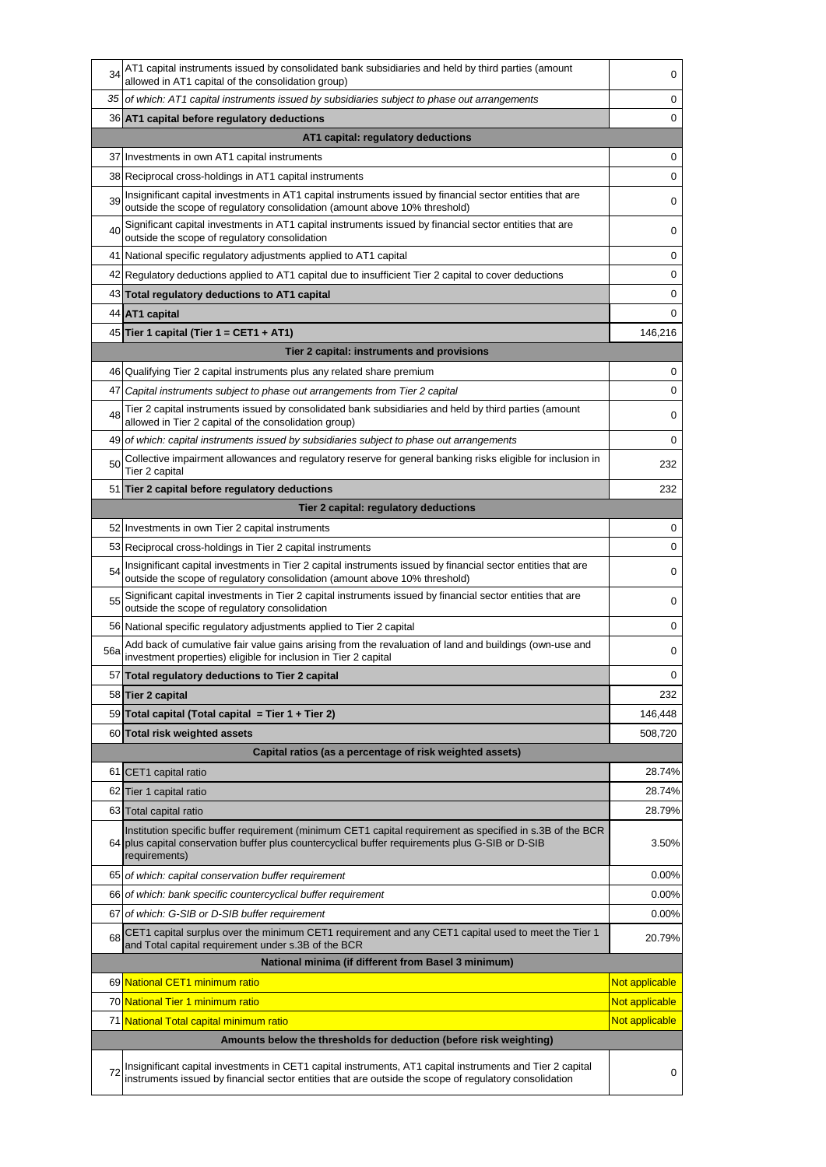| 34  | AT1 capital instruments issued by consolidated bank subsidiaries and held by third parties (amount<br>allowed in AT1 capital of the consolidation group)                                                                       | 0              |  |
|-----|--------------------------------------------------------------------------------------------------------------------------------------------------------------------------------------------------------------------------------|----------------|--|
| 35  | of which: AT1 capital instruments issued by subsidiaries subject to phase out arrangements                                                                                                                                     |                |  |
|     | 36 AT1 capital before regulatory deductions                                                                                                                                                                                    | 0              |  |
|     | AT1 capital: regulatory deductions                                                                                                                                                                                             |                |  |
|     | 37 Investments in own AT1 capital instruments                                                                                                                                                                                  | 0              |  |
|     | 38 Reciprocal cross-holdings in AT1 capital instruments                                                                                                                                                                        | 0              |  |
| 39  | Insignificant capital investments in AT1 capital instruments issued by financial sector entities that are<br>outside the scope of regulatory consolidation (amount above 10% threshold)                                        | 0              |  |
| 40  | Significant capital investments in AT1 capital instruments issued by financial sector entities that are<br>outside the scope of regulatory consolidation                                                                       | 0              |  |
|     | 41 National specific regulatory adjustments applied to AT1 capital                                                                                                                                                             | 0              |  |
|     | 42 Regulatory deductions applied to AT1 capital due to insufficient Tier 2 capital to cover deductions                                                                                                                         | 0              |  |
|     | 43 Total regulatory deductions to AT1 capital                                                                                                                                                                                  | 0              |  |
|     | 44 AT1 capital                                                                                                                                                                                                                 | 0              |  |
|     | 45 Tier 1 capital (Tier $1 = CET1 + AT1$ )                                                                                                                                                                                     | 146,216        |  |
|     | Tier 2 capital: instruments and provisions                                                                                                                                                                                     |                |  |
|     | 46 Qualifying Tier 2 capital instruments plus any related share premium                                                                                                                                                        | 0              |  |
| 47  | Capital instruments subject to phase out arrangements from Tier 2 capital                                                                                                                                                      | 0              |  |
| 48  | Tier 2 capital instruments issued by consolidated bank subsidiaries and held by third parties (amount<br>allowed in Tier 2 capital of the consolidation group)                                                                 | 0              |  |
|     | 49 of which: capital instruments issued by subsidiaries subject to phase out arrangements                                                                                                                                      | 0              |  |
| 50  | Collective impairment allowances and regulatory reserve for general banking risks eligible for inclusion in<br>Tier 2 capital                                                                                                  | 232            |  |
|     | 51 Tier 2 capital before regulatory deductions                                                                                                                                                                                 | 232            |  |
|     | Tier 2 capital: regulatory deductions                                                                                                                                                                                          |                |  |
|     | 52 Investments in own Tier 2 capital instruments                                                                                                                                                                               | 0              |  |
|     | 53 Reciprocal cross-holdings in Tier 2 capital instruments                                                                                                                                                                     | 0              |  |
| 54  | Insignificant capital investments in Tier 2 capital instruments issued by financial sector entities that are<br>outside the scope of regulatory consolidation (amount above 10% threshold)                                     | 0              |  |
| 55  | Significant capital investments in Tier 2 capital instruments issued by financial sector entities that are<br>outside the scope of regulatory consolidation                                                                    | 0              |  |
|     | 56 National specific regulatory adjustments applied to Tier 2 capital                                                                                                                                                          | 0              |  |
| 56a | Add back of cumulative fair value gains arising from the revaluation of land and buildings (own-use and<br>investment properties) eligible for inclusion in Tier 2 capital                                                     | 0              |  |
|     | 57 Total requlatory deductions to Tier 2 capital                                                                                                                                                                               | 0              |  |
|     | 58 Tier 2 capital                                                                                                                                                                                                              | 232            |  |
|     | 59 Total capital (Total capital = Tier 1 + Tier 2)                                                                                                                                                                             | 146,448        |  |
|     | 60 Total risk weighted assets                                                                                                                                                                                                  | 508,720        |  |
|     | Capital ratios (as a percentage of risk weighted assets)                                                                                                                                                                       |                |  |
| 61  | CET1 capital ratio                                                                                                                                                                                                             | 28.74%         |  |
|     | 62 Tier 1 capital ratio                                                                                                                                                                                                        | 28.74%         |  |
|     | 63 Total capital ratio                                                                                                                                                                                                         | 28.79%         |  |
|     | Institution specific buffer requirement (minimum CET1 capital requirement as specified in s.3B of the BCR<br>64 plus capital conservation buffer plus countercyclical buffer requirements plus G-SIB or D-SIB<br>requirements) | 3.50%          |  |
|     | 65 of which: capital conservation buffer requirement                                                                                                                                                                           | 0.00%          |  |
|     | 66 of which: bank specific countercyclical buffer requirement                                                                                                                                                                  | 0.00%          |  |
| 67  | of which: G-SIB or D-SIB buffer requirement                                                                                                                                                                                    | 0.00%          |  |
| 68  | CET1 capital surplus over the minimum CET1 requirement and any CET1 capital used to meet the Tier 1<br>and Total capital requirement under s.3B of the BCR                                                                     | 20.79%         |  |
|     | National minima (if different from Basel 3 minimum)                                                                                                                                                                            |                |  |
|     | 69 National CET1 minimum ratio                                                                                                                                                                                                 | Not applicable |  |
|     | 70 National Tier 1 minimum ratio                                                                                                                                                                                               | Not applicable |  |
|     | 71 National Total capital minimum ratio                                                                                                                                                                                        | Not applicable |  |
|     | Amounts below the thresholds for deduction (before risk weighting)                                                                                                                                                             |                |  |
| 72  | Insignificant capital investments in CET1 capital instruments, AT1 capital instruments and Tier 2 capital<br>instruments issued by financial sector entities that are outside the scope of regulatory consolidation            | 0              |  |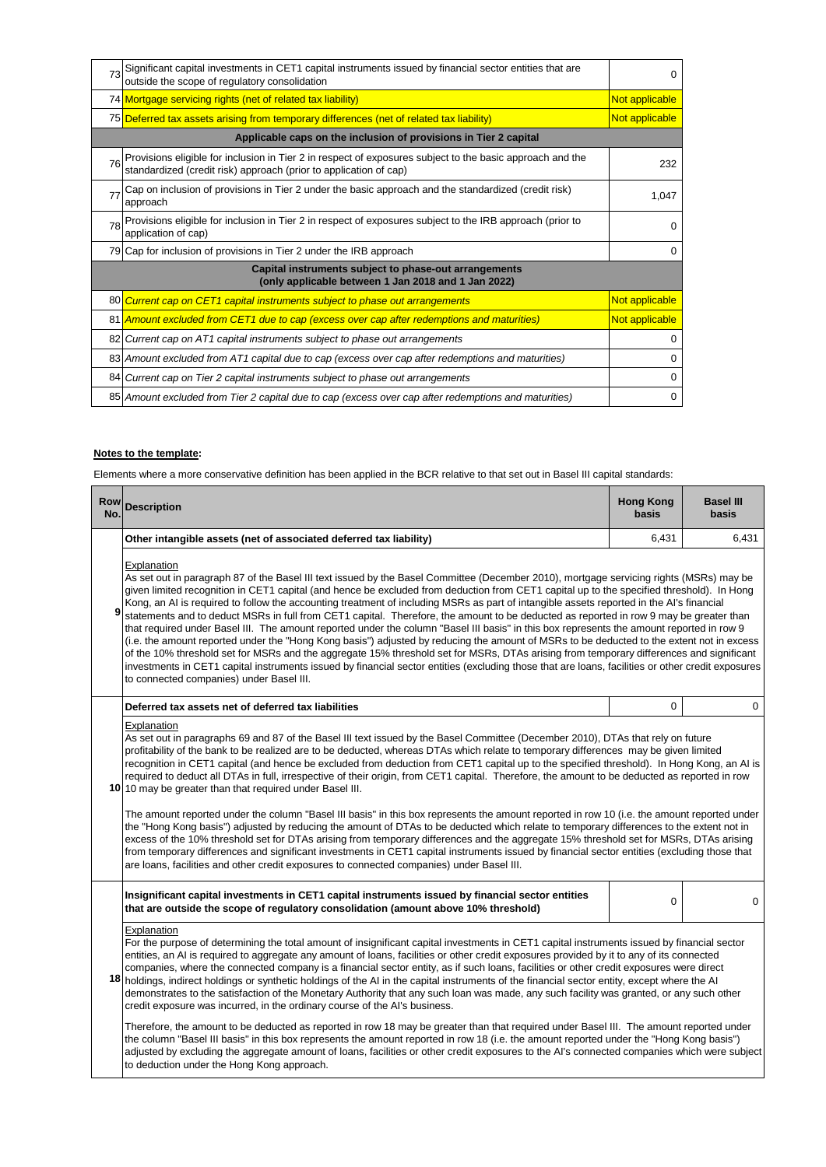| 73                                                                                                           | Significant capital investments in CET1 capital instruments issued by financial sector entities that are<br>outside the scope of regulatory consolidation                   |                |  |
|--------------------------------------------------------------------------------------------------------------|-----------------------------------------------------------------------------------------------------------------------------------------------------------------------------|----------------|--|
|                                                                                                              | 74 Mortgage servicing rights (net of related tax liability)                                                                                                                 | Not applicable |  |
|                                                                                                              | 75 Deferred tax assets arising from temporary differences (net of related tax liability)                                                                                    | Not applicable |  |
|                                                                                                              | Applicable caps on the inclusion of provisions in Tier 2 capital                                                                                                            |                |  |
| 76                                                                                                           | Provisions eligible for inclusion in Tier 2 in respect of exposures subject to the basic approach and the standardized (credit risk) approach (prior to application of cap) | 232            |  |
| 77                                                                                                           | Cap on inclusion of provisions in Tier 2 under the basic approach and the standardized (credit risk)<br>approach                                                            | 1.047          |  |
| 78                                                                                                           | Provisions eligible for inclusion in Tier 2 in respect of exposures subject to the IRB approach (prior to<br>application of cap)                                            | $\Omega$       |  |
|                                                                                                              | 79 Cap for inclusion of provisions in Tier 2 under the IRB approach                                                                                                         | 0              |  |
| Capital instruments subject to phase-out arrangements<br>(only applicable between 1 Jan 2018 and 1 Jan 2022) |                                                                                                                                                                             |                |  |
|                                                                                                              | 80 Current cap on CET1 capital instruments subject to phase out arrangements                                                                                                | Not applicable |  |
|                                                                                                              | 81 Amount excluded from CET1 due to cap (excess over cap after redemptions and maturities)                                                                                  | Not applicable |  |
|                                                                                                              | 82 Current cap on AT1 capital instruments subject to phase out arrangements                                                                                                 | 0              |  |
|                                                                                                              | 83 Amount excluded from AT1 capital due to cap (excess over cap after redemptions and maturities)                                                                           | 0              |  |
|                                                                                                              | 84 Current cap on Tier 2 capital instruments subject to phase out arrangements                                                                                              | 0              |  |
|                                                                                                              | 85 Amount excluded from Tier 2 capital due to cap (excess over cap after redemptions and maturities)                                                                        | 0              |  |
|                                                                                                              |                                                                                                                                                                             |                |  |

## **Notes to the template:**

Elements where a more conservative definition has been applied in the BCR relative to that set out in Basel III capital standards:

| Row<br>No. | <b>Description</b>                                                                                                                                                                                                                                                                                                                                                                                                                                                                                                                                                                                                                                                                                                                                                                                                                                                                                                                                                                                                                                                                                                                                                                                                                                                                                                                   | <b>Hong Kong</b><br>basis | <b>Basel III</b><br>basis |
|------------|--------------------------------------------------------------------------------------------------------------------------------------------------------------------------------------------------------------------------------------------------------------------------------------------------------------------------------------------------------------------------------------------------------------------------------------------------------------------------------------------------------------------------------------------------------------------------------------------------------------------------------------------------------------------------------------------------------------------------------------------------------------------------------------------------------------------------------------------------------------------------------------------------------------------------------------------------------------------------------------------------------------------------------------------------------------------------------------------------------------------------------------------------------------------------------------------------------------------------------------------------------------------------------------------------------------------------------------|---------------------------|---------------------------|
|            | Other intangible assets (net of associated deferred tax liability)                                                                                                                                                                                                                                                                                                                                                                                                                                                                                                                                                                                                                                                                                                                                                                                                                                                                                                                                                                                                                                                                                                                                                                                                                                                                   | 6,431                     | 6,431                     |
| 9          | Explanation<br>As set out in paragraph 87 of the Basel III text issued by the Basel Committee (December 2010), mortgage servicing rights (MSRs) may be<br>given limited recognition in CET1 capital (and hence be excluded from deduction from CET1 capital up to the specified threshold). In Hong<br>Kong, an AI is required to follow the accounting treatment of including MSRs as part of intangible assets reported in the AI's financial<br>statements and to deduct MSRs in full from CET1 capital. Therefore, the amount to be deducted as reported in row 9 may be greater than<br>that required under Basel III. The amount reported under the column "Basel III basis" in this box represents the amount reported in row 9<br>(i.e. the amount reported under the "Hong Kong basis") adjusted by reducing the amount of MSRs to be deducted to the extent not in excess<br>of the 10% threshold set for MSRs and the aggregate 15% threshold set for MSRs, DTAs arising from temporary differences and significant<br>investments in CET1 capital instruments issued by financial sector entities (excluding those that are loans, facilities or other credit exposures<br>to connected companies) under Basel III.                                                                                                      |                           |                           |
|            | Deferred tax assets net of deferred tax liabilities                                                                                                                                                                                                                                                                                                                                                                                                                                                                                                                                                                                                                                                                                                                                                                                                                                                                                                                                                                                                                                                                                                                                                                                                                                                                                  | $\mathbf 0$               | 0                         |
|            | Explanation<br>As set out in paragraphs 69 and 87 of the Basel III text issued by the Basel Committee (December 2010), DTAs that rely on future<br>profitability of the bank to be realized are to be deducted, whereas DTAs which relate to temporary differences may be given limited<br>recognition in CET1 capital (and hence be excluded from deduction from CET1 capital up to the specified threshold). In Hong Kong, an AI is<br>required to deduct all DTAs in full, irrespective of their origin, from CET1 capital. Therefore, the amount to be deducted as reported in row<br>10 10 may be greater than that required under Basel III.<br>The amount reported under the column "Basel III basis" in this box represents the amount reported in row 10 (i.e. the amount reported under<br>the "Hong Kong basis") adjusted by reducing the amount of DTAs to be deducted which relate to temporary differences to the extent not in<br>excess of the 10% threshold set for DTAs arising from temporary differences and the aggregate 15% threshold set for MSRs, DTAs arising<br>from temporary differences and significant investments in CET1 capital instruments issued by financial sector entities (excluding those that<br>are loans, facilities and other credit exposures to connected companies) under Basel III. |                           |                           |
|            | Insignificant capital investments in CET1 capital instruments issued by financial sector entities<br>that are outside the scope of regulatory consolidation (amount above 10% threshold)                                                                                                                                                                                                                                                                                                                                                                                                                                                                                                                                                                                                                                                                                                                                                                                                                                                                                                                                                                                                                                                                                                                                             | 0                         | 0                         |
| 18         | Explanation<br>For the purpose of determining the total amount of insignificant capital investments in CET1 capital instruments issued by financial sector<br>entities, an AI is required to aggregate any amount of loans, facilities or other credit exposures provided by it to any of its connected<br>companies, where the connected company is a financial sector entity, as if such loans, facilities or other credit exposures were direct<br>holdings, indirect holdings or synthetic holdings of the AI in the capital instruments of the financial sector entity, except where the AI<br>demonstrates to the satisfaction of the Monetary Authority that any such loan was made, any such facility was granted, or any such other<br>credit exposure was incurred, in the ordinary course of the AI's business.<br>Therefore, the amount to be deducted as reported in row 18 may be greater than that required under Basel III. The amount reported under<br>the column "Basel III basis" in this box represents the amount reported in row 18 (i.e. the amount reported under the "Hong Kong basis")<br>adjusted by excluding the aggregate amount of loans, facilities or other credit exposures to the AI's connected companies which were subject<br>to deduction under the Hong Kong approach.                      |                           |                           |